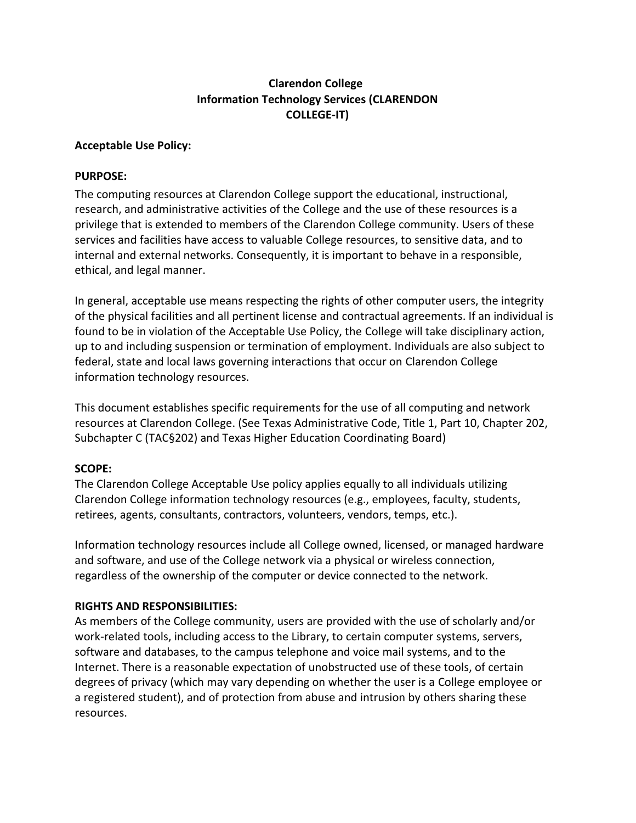# **Clarendon College Information Technology Services (CLARENDON COLLEGE-IT)**

#### **Acceptable Use Policy:**

#### **PURPOSE:**

The computing resources at Clarendon College support the educational, instructional, research, and administrative activities of the College and the use of these resources is a privilege that is extended to members of the Clarendon College community. Users of these services and facilities have access to valuable College resources, to sensitive data, and to internal and external networks. Consequently, it is important to behave in a responsible, ethical, and legal manner.

In general, acceptable use means respecting the rights of other computer users, the integrity of the physical facilities and all pertinent license and contractual agreements. If an individual is found to be in violation of the Acceptable Use Policy, the College will take disciplinary action, up to and including suspension or termination of employment. Individuals are also subject to federal, state and local laws governing interactions that occur on Clarendon College information technology resources.

This document establishes specific requirements for the use of all computing and network resources at Clarendon College. (See Texas Administrative Code, Title 1, Part 10, Chapter 202, Subchapter C (TAC§202) and Texas Higher Education Coordinating Board)

### **SCOPE:**

The Clarendon College Acceptable Use policy applies equally to all individuals utilizing Clarendon College information technology resources (e.g., employees, faculty, students, retirees, agents, consultants, contractors, volunteers, vendors, temps, etc.).

Information technology resources include all College owned, licensed, or managed hardware and software, and use of the College network via a physical or wireless connection, regardless of the ownership of the computer or device connected to the network.

### **RIGHTS AND RESPONSIBILITIES:**

As members of the College community, users are provided with the use of scholarly and/or work-related tools, including access to the Library, to certain computer systems, servers, software and databases, to the campus telephone and voice mail systems, and to the Internet. There is a reasonable expectation of unobstructed use of these tools, of certain degrees of privacy (which may vary depending on whether the user is a College employee or a registered student), and of protection from abuse and intrusion by others sharing these resources.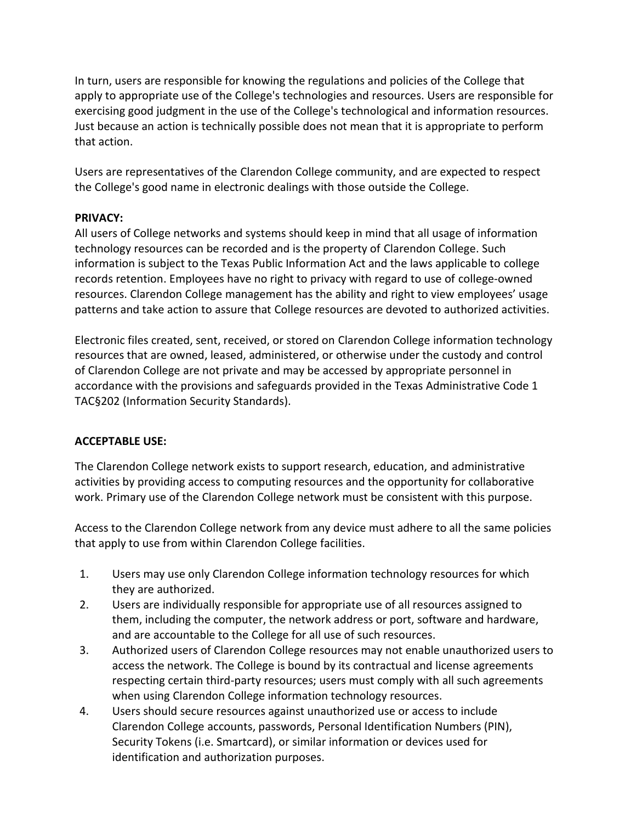In turn, users are responsible for knowing the regulations and policies of the College that apply to appropriate use of the College's technologies and resources. Users are responsible for exercising good judgment in the use of the College's technological and information resources. Just because an action is technically possible does not mean that it is appropriate to perform that action.

Users are representatives of the Clarendon College community, and are expected to respect the College's good name in electronic dealings with those outside the College.

### **PRIVACY:**

All users of College networks and systems should keep in mind that all usage of information technology resources can be recorded and is the property of Clarendon College. Such information is subject to the Texas Public Information Act and the laws applicable to college records retention. Employees have no right to privacy with regard to use of college-owned resources. Clarendon College management has the ability and right to view employees' usage patterns and take action to assure that College resources are devoted to authorized activities.

Electronic files created, sent, received, or stored on Clarendon College information technology resources that are owned, leased, administered, or otherwise under the custody and control of Clarendon College are not private and may be accessed by appropriate personnel in accordance with the provisions and safeguards provided in the Texas Administrative Code 1 TAC§202 (Information Security Standards).

### **ACCEPTABLE USE:**

The Clarendon College network exists to support research, education, and administrative activities by providing access to computing resources and the opportunity for collaborative work. Primary use of the Clarendon College network must be consistent with this purpose.

Access to the Clarendon College network from any device must adhere to all the same policies that apply to use from within Clarendon College facilities.

- 1. Users may use only Clarendon College information technology resources for which they are authorized.
- 2. Users are individually responsible for appropriate use of all resources assigned to them, including the computer, the network address or port, software and hardware, and are accountable to the College for all use of such resources.
- 3. Authorized users of Clarendon College resources may not enable unauthorized users to access the network. The College is bound by its contractual and license agreements respecting certain third-party resources; users must comply with all such agreements when using Clarendon College information technology resources.
- 4. Users should secure resources against unauthorized use or access to include Clarendon College accounts, passwords, Personal Identification Numbers (PIN), Security Tokens (i.e. Smartcard), or similar information or devices used for identification and authorization purposes.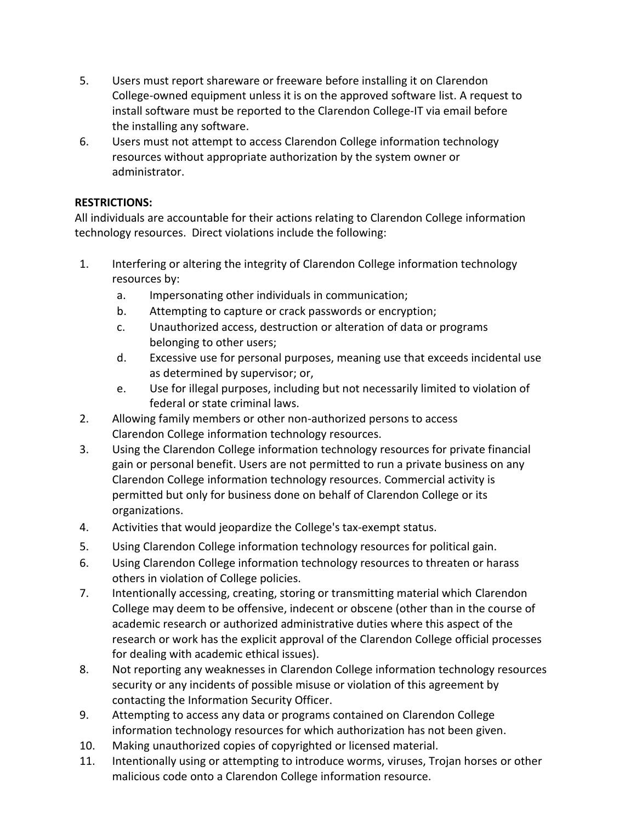- 5. Users must report shareware or freeware before installing it on Clarendon College-owned equipment unless it is on the approved software list. A request to install software must be reported to the Clarendon College-IT via email before the installing any software.
- 6. Users must not attempt to access Clarendon College information technology resources without appropriate authorization by the system owner or administrator.

## **RESTRICTIONS:**

All individuals are accountable for their actions relating to Clarendon College information technology resources. Direct violations include the following:

- 1. Interfering or altering the integrity of Clarendon College information technology resources by:
	- a. Impersonating other individuals in communication;
	- b. Attempting to capture or crack passwords or encryption;
	- c. Unauthorized access, destruction or alteration of data or programs belonging to other users;
	- d. Excessive use for personal purposes, meaning use that exceeds incidental use as determined by supervisor; or,
	- e. Use for illegal purposes, including but not necessarily limited to violation of federal or state criminal laws.
- 2. Allowing family members or other non-authorized persons to access Clarendon College information technology resources.
- 3. Using the Clarendon College information technology resources for private financial gain or personal benefit. Users are not permitted to run a private business on any Clarendon College information technology resources. Commercial activity is permitted but only for business done on behalf of Clarendon College or its organizations.
- 4. Activities that would jeopardize the College's tax-exempt status.
- 5. Using Clarendon College information technology resources for political gain.
- 6. Using Clarendon College information technology resources to threaten or harass others in violation of College policies.
- 7. Intentionally accessing, creating, storing or transmitting material which Clarendon College may deem to be offensive, indecent or obscene (other than in the course of academic research or authorized administrative duties where this aspect of the research or work has the explicit approval of the Clarendon College official processes for dealing with academic ethical issues).
- 8. Not reporting any weaknesses in Clarendon College information technology resources security or any incidents of possible misuse or violation of this agreement by contacting the Information Security Officer.
- 9. Attempting to access any data or programs contained on Clarendon College information technology resources for which authorization has not been given.
- 10. Making unauthorized copies of copyrighted or licensed material.
- 11. Intentionally using or attempting to introduce worms, viruses, Trojan horses or other malicious code onto a Clarendon College information resource.